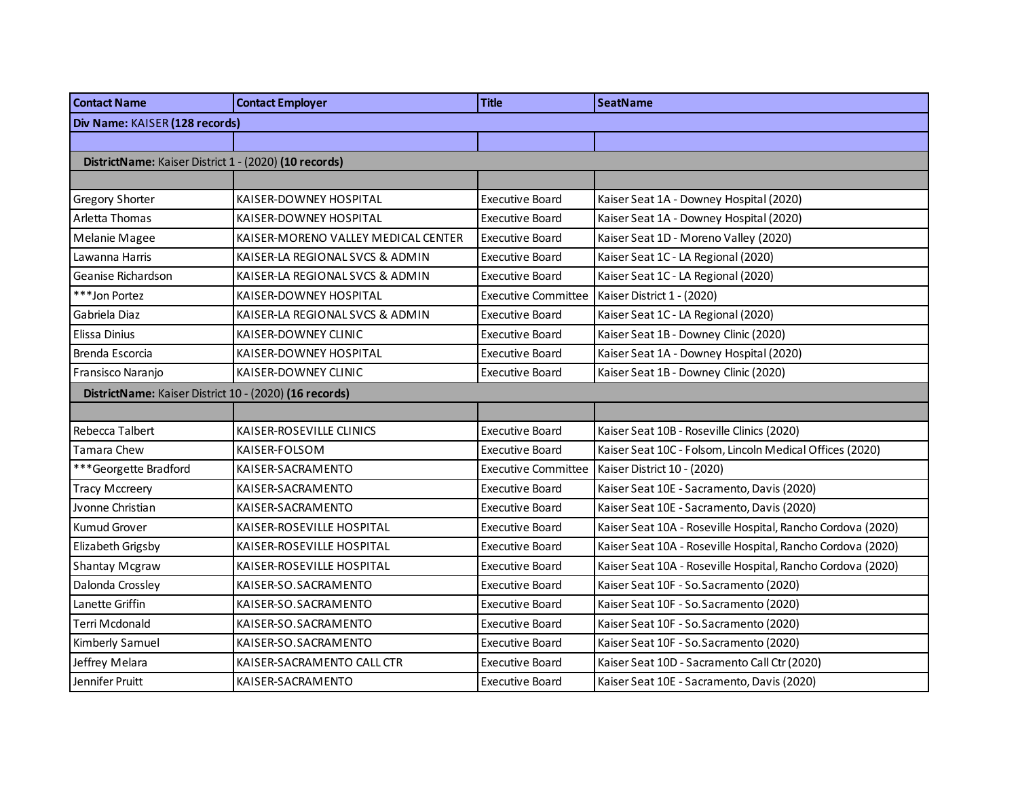| <b>Contact Name</b>                                    | <b>Contact Employer</b>             | <b>Title</b>               | <b>SeatName</b>                                             |
|--------------------------------------------------------|-------------------------------------|----------------------------|-------------------------------------------------------------|
| Div Name: KAISER (128 records)                         |                                     |                            |                                                             |
|                                                        |                                     |                            |                                                             |
| DistrictName: Kaiser District 1 - (2020) (10 records)  |                                     |                            |                                                             |
|                                                        |                                     |                            |                                                             |
| Gregory Shorter                                        | KAISER-DOWNEY HOSPITAL              | <b>Executive Board</b>     | Kaiser Seat 1A - Downey Hospital (2020)                     |
| Arletta Thomas                                         | KAISER-DOWNEY HOSPITAL              | <b>Executive Board</b>     | Kaiser Seat 1A - Downey Hospital (2020)                     |
| Melanie Magee                                          | KAISER-MORENO VALLEY MEDICAL CENTER | <b>Executive Board</b>     | Kaiser Seat 1D - Moreno Valley (2020)                       |
| Lawanna Harris                                         | KAISER-LA REGIONAL SVCS & ADMIN     | <b>Executive Board</b>     | Kaiser Seat 1C - LA Regional (2020)                         |
| Geanise Richardson                                     | KAISER-LA REGIONAL SVCS & ADMIN     | <b>Executive Board</b>     | Kaiser Seat 1C - LA Regional (2020)                         |
| *** Jon Portez                                         | KAISER-DOWNEY HOSPITAL              | <b>Executive Committee</b> | Kaiser District 1 - (2020)                                  |
| Gabriela Diaz                                          | KAISER-LA REGIONAL SVCS & ADMIN     | <b>Executive Board</b>     | Kaiser Seat 1C - LA Regional (2020)                         |
| Elissa Dinius                                          | KAISER-DOWNEY CLINIC                | <b>Executive Board</b>     | Kaiser Seat 1B - Downey Clinic (2020)                       |
| Brenda Escorcia                                        | KAISER-DOWNEY HOSPITAL              | Executive Board            | Kaiser Seat 1A - Downey Hospital (2020)                     |
| Fransisco Naranjo                                      | KAISER-DOWNEY CLINIC                | <b>Executive Board</b>     | Kaiser Seat 1B - Downey Clinic (2020)                       |
| DistrictName: Kaiser District 10 - (2020) (16 records) |                                     |                            |                                                             |
|                                                        |                                     |                            |                                                             |
| Rebecca Talbert                                        | KAISER-ROSEVILLE CLINICS            | <b>Executive Board</b>     | Kaiser Seat 10B - Roseville Clinics (2020)                  |
| Tamara Chew                                            | KAISER-FOLSOM                       | <b>Executive Board</b>     | Kaiser Seat 10C - Folsom, Lincoln Medical Offices (2020)    |
| ***Georgette Bradford                                  | KAISER-SACRAMENTO                   | <b>Executive Committee</b> | Kaiser District 10 - (2020)                                 |
| <b>Tracy Mccreery</b>                                  | KAISER-SACRAMENTO                   | <b>Executive Board</b>     | Kaiser Seat 10E - Sacramento, Davis (2020)                  |
| Jvonne Christian                                       | KAISER-SACRAMENTO                   | <b>Executive Board</b>     | Kaiser Seat 10E - Sacramento, Davis (2020)                  |
| <b>Kumud Grover</b>                                    | KAISER-ROSEVILLE HOSPITAL           | <b>Executive Board</b>     | Kaiser Seat 10A - Roseville Hospital, Rancho Cordova (2020) |
| Elizabeth Grigsby                                      | KAISER-ROSEVILLE HOSPITAL           | <b>Executive Board</b>     | Kaiser Seat 10A - Roseville Hospital, Rancho Cordova (2020) |
| Shantay Mcgraw                                         | KAISER-ROSEVILLE HOSPITAL           | <b>Executive Board</b>     | Kaiser Seat 10A - Roseville Hospital, Rancho Cordova (2020) |
| Dalonda Crossley                                       | KAISER-SO.SACRAMENTO                | <b>Executive Board</b>     | Kaiser Seat 10F - So. Sacramento (2020)                     |
| Lanette Griffin                                        | KAISER-SO.SACRAMENTO                | <b>Executive Board</b>     | Kaiser Seat 10F - So. Sacramento (2020)                     |
| Terri Mcdonald                                         | KAISER-SO.SACRAMENTO                | <b>Executive Board</b>     | Kaiser Seat 10F - So. Sacramento (2020)                     |
| Kimberly Samuel                                        | KAISER-SO.SACRAMENTO                | <b>Executive Board</b>     | Kaiser Seat 10F - So. Sacramento (2020)                     |
| Jeffrey Melara                                         | KAISER-SACRAMENTO CALL CTR          | <b>Executive Board</b>     | Kaiser Seat 10D - Sacramento Call Ctr (2020)                |
| Jennifer Pruitt                                        | KAISER-SACRAMENTO                   | <b>Executive Board</b>     | Kaiser Seat 10E - Sacramento, Davis (2020)                  |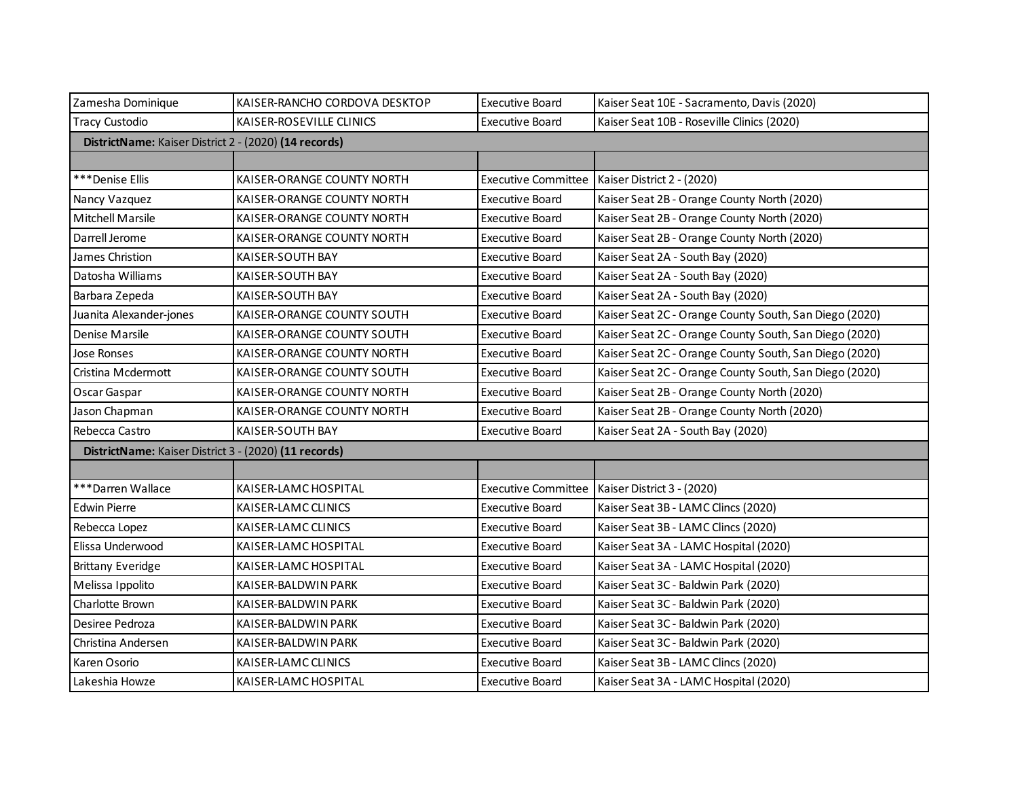| Zamesha Dominique                                     | KAISER-RANCHO CORDOVA DESKTOP                         | <b>Executive Board</b>     | Kaiser Seat 10E - Sacramento, Davis (2020)             |  |  |
|-------------------------------------------------------|-------------------------------------------------------|----------------------------|--------------------------------------------------------|--|--|
| <b>Tracy Custodio</b>                                 | KAISER-ROSEVILLE CLINICS                              | <b>Executive Board</b>     | Kaiser Seat 10B - Roseville Clinics (2020)             |  |  |
|                                                       | DistrictName: Kaiser District 2 - (2020) (14 records) |                            |                                                        |  |  |
|                                                       |                                                       |                            |                                                        |  |  |
| ***Denise Ellis                                       | KAISER-ORANGE COUNTY NORTH                            |                            | Executive Committee   Kaiser District 2 - (2020)       |  |  |
| Nancy Vazquez                                         | KAISER-ORANGE COUNTY NORTH                            | <b>Executive Board</b>     | Kaiser Seat 2B - Orange County North (2020)            |  |  |
| <b>Mitchell Marsile</b>                               | KAISER-ORANGE COUNTY NORTH                            | <b>Executive Board</b>     | Kaiser Seat 2B - Orange County North (2020)            |  |  |
| Darrell Jerome                                        | KAISER-ORANGE COUNTY NORTH                            | Executive Board            | Kaiser Seat 2B - Orange County North (2020)            |  |  |
| James Christion                                       | KAISER-SOUTH BAY                                      | <b>Executive Board</b>     | Kaiser Seat 2A - South Bay (2020)                      |  |  |
| Datosha Williams                                      | KAISER-SOUTH BAY                                      | <b>Executive Board</b>     | Kaiser Seat 2A - South Bay (2020)                      |  |  |
| Barbara Zepeda                                        | KAISER-SOUTH BAY                                      | <b>Executive Board</b>     | Kaiser Seat 2A - South Bay (2020)                      |  |  |
| Juanita Alexander-jones                               | KAISER-ORANGE COUNTY SOUTH                            | <b>Executive Board</b>     | Kaiser Seat 2C - Orange County South, San Diego (2020) |  |  |
| Denise Marsile                                        | KAISER-ORANGE COUNTY SOUTH                            | <b>Executive Board</b>     | Kaiser Seat 2C - Orange County South, San Diego (2020) |  |  |
| Jose Ronses                                           | KAISER-ORANGE COUNTY NORTH                            | <b>Executive Board</b>     | Kaiser Seat 2C - Orange County South, San Diego (2020) |  |  |
| Cristina Mcdermott                                    | KAISER-ORANGE COUNTY SOUTH                            | <b>Executive Board</b>     | Kaiser Seat 2C - Orange County South, San Diego (2020) |  |  |
| Oscar Gaspar                                          | KAISER-ORANGE COUNTY NORTH                            | <b>Executive Board</b>     | Kaiser Seat 2B - Orange County North (2020)            |  |  |
| Jason Chapman                                         | KAISER-ORANGE COUNTY NORTH                            | <b>Executive Board</b>     | Kaiser Seat 2B - Orange County North (2020)            |  |  |
| Rebecca Castro                                        | KAISER-SOUTH BAY                                      | <b>Executive Board</b>     | Kaiser Seat 2A - South Bay (2020)                      |  |  |
| DistrictName: Kaiser District 3 - (2020) (11 records) |                                                       |                            |                                                        |  |  |
|                                                       |                                                       |                            |                                                        |  |  |
| ***Darren Wallace                                     | KAISER-LAMC HOSPITAL                                  | <b>Executive Committee</b> | Kaiser District 3 - (2020)                             |  |  |
| <b>Edwin Pierre</b>                                   | KAISER-LAMC CLINICS                                   | <b>Executive Board</b>     | Kaiser Seat 3B - LAMC Clincs (2020)                    |  |  |
| Rebecca Lopez                                         | KAISER-LAMC CLINICS                                   | <b>Executive Board</b>     | Kaiser Seat 3B - LAMC Clincs (2020)                    |  |  |
| Elissa Underwood                                      | KAISER-LAMC HOSPITAL                                  | <b>Executive Board</b>     | Kaiser Seat 3A - LAMC Hospital (2020)                  |  |  |
| <b>Brittany Everidge</b>                              | KAISER-LAMC HOSPITAL                                  | <b>Executive Board</b>     | Kaiser Seat 3A - LAMC Hospital (2020)                  |  |  |
| Melissa Ippolito                                      | KAISER-BALDWIN PARK                                   | <b>Executive Board</b>     | Kaiser Seat 3C - Baldwin Park (2020)                   |  |  |
| Charlotte Brown                                       | KAISER-BALDWIN PARK                                   | <b>Executive Board</b>     | Kaiser Seat 3C - Baldwin Park (2020)                   |  |  |
| Desiree Pedroza                                       | KAISER-BALDWIN PARK                                   | <b>Executive Board</b>     | Kaiser Seat 3C - Baldwin Park (2020)                   |  |  |
| Christina Andersen                                    | KAISER-BALDWIN PARK                                   | <b>Executive Board</b>     | Kaiser Seat 3C - Baldwin Park (2020)                   |  |  |
| Karen Osorio                                          | KAISER-LAMC CLINICS                                   | <b>Executive Board</b>     | Kaiser Seat 3B - LAMC Clincs (2020)                    |  |  |
| Lakeshia Howze                                        | KAISER-LAMC HOSPITAL                                  | Executive Board            | Kaiser Seat 3A - LAMC Hospital (2020)                  |  |  |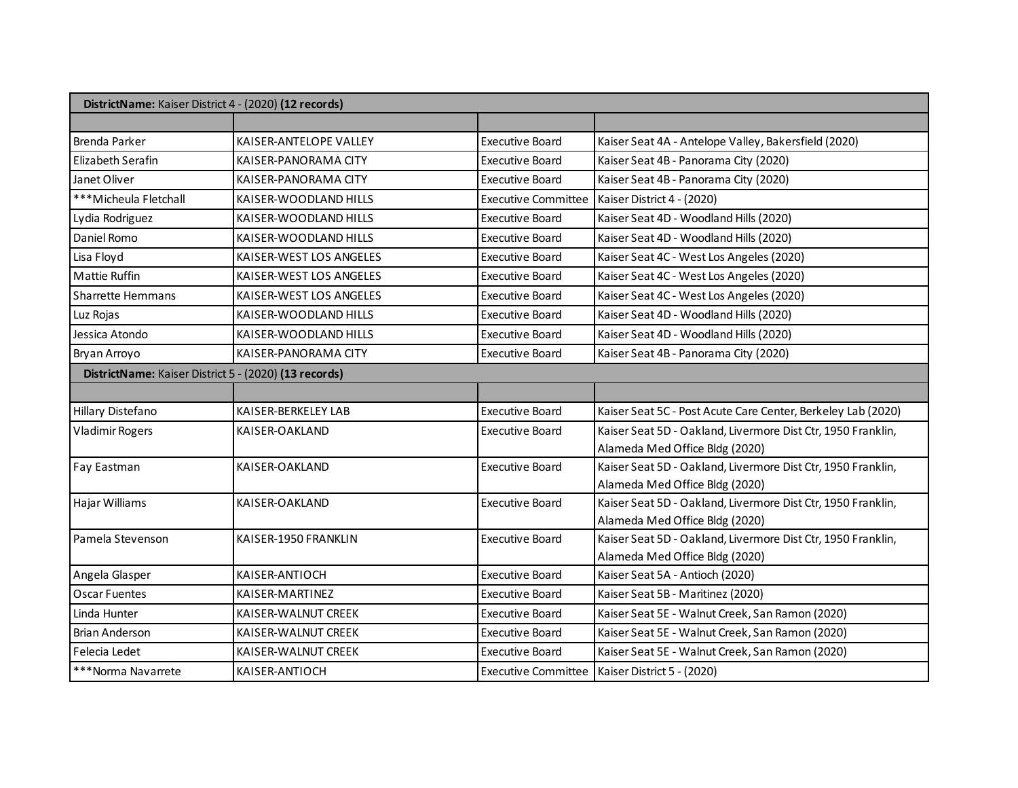| DistrictName: Kaiser District 4 - (2020) (12 records) |                         |                            |                                                              |
|-------------------------------------------------------|-------------------------|----------------------------|--------------------------------------------------------------|
|                                                       |                         |                            |                                                              |
| Brenda Parker                                         | KAISER-ANTELOPE VALLEY  | <b>Executive Board</b>     | Kaiser Seat 4A - Antelope Valley, Bakersfield (2020)         |
| Elizabeth Serafin                                     | KAISER-PANORAMA CITY    | <b>Executive Board</b>     | Kaiser Seat 4B - Panorama City (2020)                        |
| Janet Oliver                                          | KAISER-PANORAMA CITY    | <b>Executive Board</b>     | Kaiser Seat 4B - Panorama City (2020)                        |
| ***Micheula Fletchall                                 | KAISER-WOODLAND HILLS   | <b>Executive Committee</b> | Kaiser District 4 - (2020)                                   |
| Lydia Rodriguez                                       | KAISER-WOODLAND HILLS   | <b>Executive Board</b>     | Kaiser Seat 4D - Woodland Hills (2020)                       |
| Daniel Romo                                           | KAISER-WOODLAND HILLS   | <b>Executive Board</b>     | Kaiser Seat 4D - Woodland Hills (2020)                       |
| Lisa Floyd                                            | KAISER-WEST LOS ANGELES | <b>Executive Board</b>     | Kaiser Seat 4C - West Los Angeles (2020)                     |
| Mattie Ruffin                                         | KAISER-WEST LOS ANGELES | <b>Executive Board</b>     | Kaiser Seat 4C - West Los Angeles (2020)                     |
| Sharrette Hemmans                                     | KAISER-WEST LOS ANGELES | <b>Executive Board</b>     | Kaiser Seat 4C - West Los Angeles (2020)                     |
| Luz Rojas                                             | KAISER-WOODLAND HILLS   | <b>Executive Board</b>     | Kaiser Seat 4D - Woodland Hills (2020)                       |
| Jessica Atondo                                        | KAISER-WOODLAND HILLS   | <b>Executive Board</b>     | Kaiser Seat 4D - Woodland Hills (2020)                       |
| Bryan Arroyo                                          | KAISER-PANORAMA CITY    | <b>Executive Board</b>     | Kaiser Seat 4B - Panorama City (2020)                        |
| DistrictName: Kaiser District 5 - (2020) (13 records) |                         |                            |                                                              |
|                                                       |                         |                            |                                                              |
| Hillary Distefano                                     | KAISER-BERKELEY LAB     | <b>Executive Board</b>     | Kaiser Seat 5C - Post Acute Care Center, Berkeley Lab (2020) |
| <b>Vladimir Rogers</b>                                | KAISER-OAKLAND          | Executive Board            | Kaiser Seat 5D - Oakland, Livermore Dist Ctr, 1950 Franklin, |
|                                                       |                         |                            | Alameda Med Office Bldg (2020)                               |
| Fay Eastman                                           | KAISER-OAKLAND          | <b>Executive Board</b>     | Kaiser Seat 5D - Oakland, Livermore Dist Ctr, 1950 Franklin, |
|                                                       |                         |                            | Alameda Med Office Bldg (2020)                               |
| Hajar Williams                                        | KAISER-OAKLAND          | <b>Executive Board</b>     | Kaiser Seat 5D - Oakland, Livermore Dist Ctr, 1950 Franklin, |
|                                                       |                         |                            | Alameda Med Office Bldg (2020)                               |
| Pamela Stevenson                                      | KAISER-1950 FRANKLIN    | <b>Executive Board</b>     | Kaiser Seat 5D - Oakland, Livermore Dist Ctr, 1950 Franklin, |
|                                                       |                         |                            | Alameda Med Office Bldg (2020)                               |
| Angela Glasper                                        | KAISER-ANTIOCH          | <b>Executive Board</b>     | Kaiser Seat 5A - Antioch (2020)                              |
| Oscar Fuentes                                         | KAISER-MARTINEZ         | <b>Executive Board</b>     | Kaiser Seat 5B - Maritinez (2020)                            |
| Linda Hunter                                          | KAISER-WALNUT CREEK     | <b>Executive Board</b>     | Kaiser Seat 5E - Walnut Creek, San Ramon (2020)              |
| <b>Brian Anderson</b>                                 | KAISER-WALNUT CREEK     | <b>Executive Board</b>     | Kaiser Seat 5E - Walnut Creek, San Ramon (2020)              |
| Felecia Ledet                                         | KAISER-WALNUT CREEK     | <b>Executive Board</b>     | Kaiser Seat 5E - Walnut Creek, San Ramon (2020)              |
| ***Norma Navarrete                                    | KAISER-ANTIOCH          |                            | Executive Committee   Kaiser District 5 - (2020)             |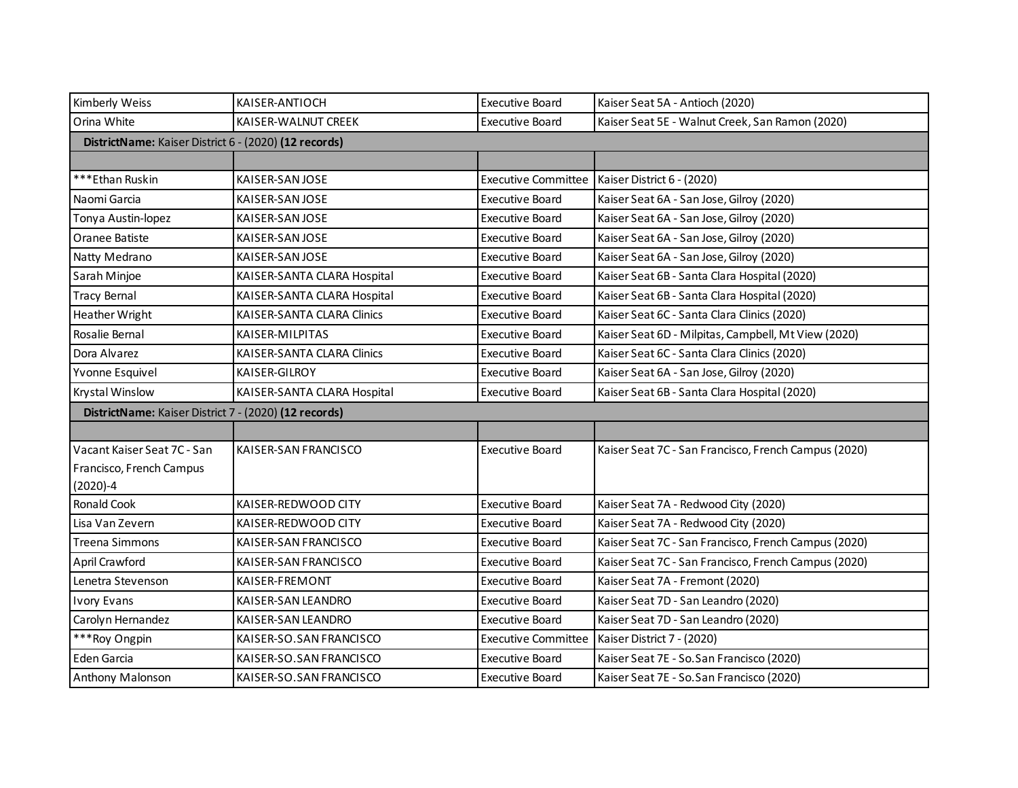| Kimberly Weiss                                        | KAISER-ANTIOCH              | <b>Executive Board</b>     | Kaiser Seat 5A - Antioch (2020)                      |  |
|-------------------------------------------------------|-----------------------------|----------------------------|------------------------------------------------------|--|
| Orina White                                           | KAISER-WALNUT CREEK         | <b>Executive Board</b>     | Kaiser Seat 5E - Walnut Creek, San Ramon (2020)      |  |
| DistrictName: Kaiser District 6 - (2020) (12 records) |                             |                            |                                                      |  |
|                                                       |                             |                            |                                                      |  |
| ***Ethan Ruskin                                       | KAISER-SAN JOSE             | <b>Executive Committee</b> | Kaiser District 6 - (2020)                           |  |
| Naomi Garcia                                          | KAISER-SAN JOSE             | <b>Executive Board</b>     | Kaiser Seat 6A - San Jose, Gilroy (2020)             |  |
| Tonya Austin-lopez                                    | KAISER-SAN JOSE             | Executive Board            | Kaiser Seat 6A - San Jose, Gilroy (2020)             |  |
| Oranee Batiste                                        | KAISER-SAN JOSE             | <b>Executive Board</b>     | Kaiser Seat 6A - San Jose, Gilroy (2020)             |  |
| Natty Medrano                                         | KAISER-SAN JOSE             | <b>Executive Board</b>     | Kaiser Seat 6A - San Jose, Gilroy (2020)             |  |
| Sarah Minjoe                                          | KAISER-SANTA CLARA Hospital | <b>Executive Board</b>     | Kaiser Seat 6B - Santa Clara Hospital (2020)         |  |
| <b>Tracy Bernal</b>                                   | KAISER-SANTA CLARA Hospital | <b>Executive Board</b>     | Kaiser Seat 6B - Santa Clara Hospital (2020)         |  |
| Heather Wright                                        | KAISER-SANTA CLARA Clinics  | <b>Executive Board</b>     | Kaiser Seat 6C - Santa Clara Clinics (2020)          |  |
| Rosalie Bernal                                        | KAISER-MILPITAS             | <b>Executive Board</b>     | Kaiser Seat 6D - Milpitas, Campbell, Mt View (2020)  |  |
| Dora Alvarez                                          | KAISER-SANTA CLARA Clinics  | <b>Executive Board</b>     | Kaiser Seat 6C - Santa Clara Clinics (2020)          |  |
| Yvonne Esquivel                                       | KAISER-GILROY               | <b>Executive Board</b>     | Kaiser Seat 6A - San Jose, Gilroy (2020)             |  |
| Krystal Winslow                                       | KAISER-SANTA CLARA Hospital | <b>Executive Board</b>     | Kaiser Seat 6B - Santa Clara Hospital (2020)         |  |
| DistrictName: Kaiser District 7 - (2020) (12 records) |                             |                            |                                                      |  |
|                                                       |                             |                            |                                                      |  |
| Vacant Kaiser Seat 7C - San                           | KAISER-SAN FRANCISCO        | <b>Executive Board</b>     | Kaiser Seat 7C - San Francisco, French Campus (2020) |  |
| Francisco, French Campus                              |                             |                            |                                                      |  |
| $(2020)-4$                                            |                             |                            |                                                      |  |
| Ronald Cook                                           | KAISER-REDWOOD CITY         | <b>Executive Board</b>     | Kaiser Seat 7A - Redwood City (2020)                 |  |
| Lisa Van Zevern                                       | KAISER-REDWOOD CITY         | Executive Board            | Kaiser Seat 7A - Redwood City (2020)                 |  |
| <b>Treena Simmons</b>                                 | KAISER-SAN FRANCISCO        | <b>Executive Board</b>     | Kaiser Seat 7C - San Francisco, French Campus (2020) |  |
| April Crawford                                        | KAISER-SAN FRANCISCO        | <b>Executive Board</b>     | Kaiser Seat 7C - San Francisco, French Campus (2020) |  |
| Lenetra Stevenson                                     | KAISER-FREMONT              | <b>Executive Board</b>     | Kaiser Seat 7A - Fremont (2020)                      |  |
| <b>Ivory Evans</b>                                    | KAISER-SAN LEANDRO          | <b>Executive Board</b>     | Kaiser Seat 7D - San Leandro (2020)                  |  |
| Carolyn Hernandez                                     | KAISER-SAN LEANDRO          | <b>Executive Board</b>     | Kaiser Seat 7D - San Leandro (2020)                  |  |
| ***Roy Ongpin                                         | KAISER-SO.SAN FRANCISCO     | <b>Executive Committee</b> | Kaiser District 7 - (2020)                           |  |
| Eden Garcia                                           | KAISER-SO.SAN FRANCISCO     | <b>Executive Board</b>     | Kaiser Seat 7E - So. San Francisco (2020)            |  |
| Anthony Malonson                                      | KAISER-SO.SAN FRANCISCO     | Executive Board            | Kaiser Seat 7E - So. San Francisco (2020)            |  |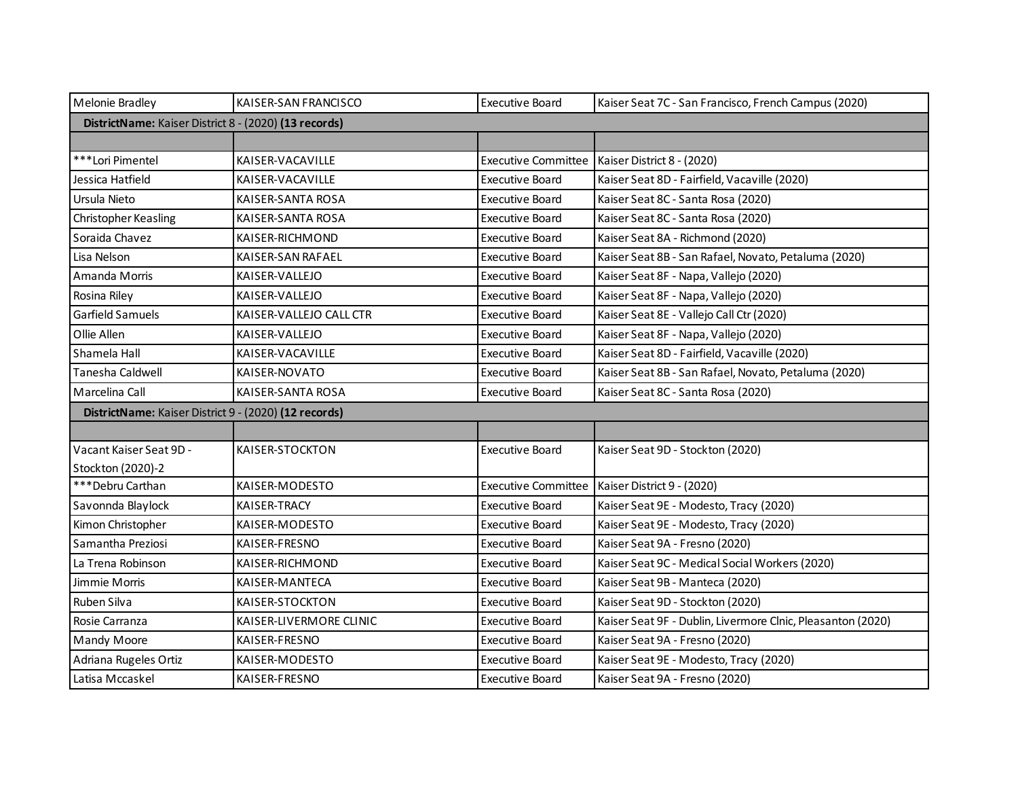| Melonie Bradley                                       | KAISER-SAN FRANCISCO                                  | <b>Executive Board</b>     | Kaiser Seat 7C - San Francisco, French Campus (2020)        |  |
|-------------------------------------------------------|-------------------------------------------------------|----------------------------|-------------------------------------------------------------|--|
| DistrictName: Kaiser District 8 - (2020) (13 records) |                                                       |                            |                                                             |  |
|                                                       |                                                       |                            |                                                             |  |
| ***Lori Pimentel                                      | KAISER-VACAVILLE                                      | <b>Executive Committee</b> | Kaiser District 8 - (2020)                                  |  |
| Jessica Hatfield                                      | KAISER-VACAVILLE                                      | <b>Executive Board</b>     | Kaiser Seat 8D - Fairfield, Vacaville (2020)                |  |
| Ursula Nieto                                          | KAISER-SANTA ROSA                                     | Executive Board            | Kaiser Seat 8C - Santa Rosa (2020)                          |  |
| <b>Christopher Keasling</b>                           | KAISER-SANTA ROSA                                     | <b>Executive Board</b>     | Kaiser Seat 8C - Santa Rosa (2020)                          |  |
| Soraida Chavez                                        | KAISER-RICHMOND                                       | Executive Board            | Kaiser Seat 8A - Richmond (2020)                            |  |
| Lisa Nelson                                           | KAISER-SAN RAFAEL                                     | <b>Executive Board</b>     | Kaiser Seat 8B - San Rafael, Novato, Petaluma (2020)        |  |
| Amanda Morris                                         | KAISER-VALLEJO                                        | <b>Executive Board</b>     | Kaiser Seat 8F - Napa, Vallejo (2020)                       |  |
| Rosina Riley                                          | KAISER-VALLEJO                                        | <b>Executive Board</b>     | Kaiser Seat 8F - Napa, Vallejo (2020)                       |  |
| Garfield Samuels                                      | KAISER-VALLEJO CALL CTR                               | <b>Executive Board</b>     | Kaiser Seat 8E - Vallejo Call Ctr (2020)                    |  |
| Ollie Allen                                           | KAISER-VALLEJO                                        | <b>Executive Board</b>     | Kaiser Seat 8F - Napa, Vallejo (2020)                       |  |
| Shamela Hall                                          | KAISER-VACAVILLE                                      | <b>Executive Board</b>     | Kaiser Seat 8D - Fairfield, Vacaville (2020)                |  |
| Tanesha Caldwell                                      | KAISER-NOVATO                                         | Executive Board            | Kaiser Seat 8B - San Rafael, Novato, Petaluma (2020)        |  |
| Marcelina Call                                        | KAISER-SANTA ROSA                                     | Executive Board            | Kaiser Seat 8C - Santa Rosa (2020)                          |  |
|                                                       | DistrictName: Kaiser District 9 - (2020) (12 records) |                            |                                                             |  |
|                                                       |                                                       |                            |                                                             |  |
| Vacant Kaiser Seat 9D -                               | KAISER-STOCKTON                                       | <b>Executive Board</b>     | Kaiser Seat 9D - Stockton (2020)                            |  |
| Stockton (2020)-2                                     |                                                       |                            |                                                             |  |
| ***Debru Carthan                                      | KAISER-MODESTO                                        | <b>Executive Committee</b> | Kaiser District 9 - (2020)                                  |  |
| Savonnda Blaylock                                     | KAISER-TRACY                                          | Executive Board            | Kaiser Seat 9E - Modesto, Tracy (2020)                      |  |
| Kimon Christopher                                     | KAISER-MODESTO                                        | Executive Board            | Kaiser Seat 9E - Modesto, Tracy (2020)                      |  |
| Samantha Preziosi                                     | KAISER-FRESNO                                         | Executive Board            | Kaiser Seat 9A - Fresno (2020)                              |  |
| La Trena Robinson                                     | KAISER-RICHMOND                                       | Executive Board            | Kaiser Seat 9C - Medical Social Workers (2020)              |  |
| Jimmie Morris                                         | KAISER-MANTECA                                        | <b>Executive Board</b>     | Kaiser Seat 9B - Manteca (2020)                             |  |
| Ruben Silva                                           | KAISER-STOCKTON                                       | <b>Executive Board</b>     | Kaiser Seat 9D - Stockton (2020)                            |  |
| Rosie Carranza                                        | KAISER-LIVERMORE CLINIC                               | <b>Executive Board</b>     | Kaiser Seat 9F - Dublin, Livermore Clnic, Pleasanton (2020) |  |
| <b>Mandy Moore</b>                                    | KAISER-FRESNO                                         | <b>Executive Board</b>     | Kaiser Seat 9A - Fresno (2020)                              |  |
| Adriana Rugeles Ortiz                                 | KAISER-MODESTO                                        | <b>Executive Board</b>     | Kaiser Seat 9E - Modesto, Tracy (2020)                      |  |
| Latisa Mccaskel                                       | KAISER-FRESNO                                         | Executive Board            | Kaiser Seat 9A - Fresno (2020)                              |  |